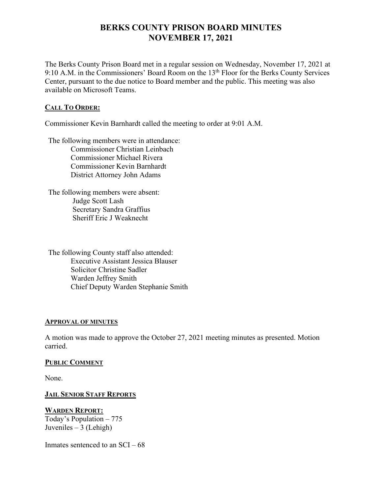# **BERKS COUNTY PRISON BOARD MINUTES NOVEMBER 17, 2021**

The Berks County Prison Board met in a regular session on Wednesday, November 17, 2021 at 9:10 A.M. in the Commissioners' Board Room on the 13<sup>th</sup> Floor for the Berks County Services Center, pursuant to the due notice to Board member and the public. This meeting was also available on Microsoft Teams.

## **CALL TO ORDER:**

Commissioner Kevin Barnhardt called the meeting to order at 9:01 A.M.

The following members were in attendance: Commissioner Christian Leinbach Commissioner Michael Rivera Commissioner Kevin Barnhardt District Attorney John Adams

The following members were absent: Judge Scott Lash Secretary Sandra Graffius Sheriff Eric J Weaknecht

The following County staff also attended: Executive Assistant Jessica Blauser Solicitor Christine Sadler Warden Jeffrey Smith Chief Deputy Warden Stephanie Smith

## **APPROVAL OF MINUTES**

A motion was made to approve the October 27, 2021 meeting minutes as presented. Motion carried.

## **PUBLIC COMMENT**

None.

## **JAIL SENIOR STAFF REPORTS**

## **WARDEN REPORT:**

Today's Population – 775 Juveniles  $-3$  (Lehigh)

Inmates sentenced to an  $SCI - 68$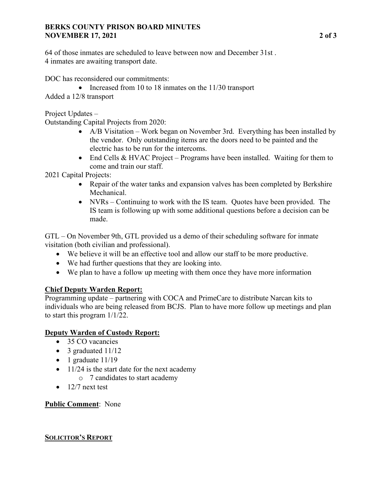## **BERKS COUNTY PRISON BOARD MINUTES NOVEMBER 17, 2021 2 of 3**

64 of those inmates are scheduled to leave between now and December 31st . 4 inmates are awaiting transport date.

DOC has reconsidered our commitments:

- Increased from 10 to 18 inmates on the 11/30 transport
- Added a 12/8 transport

Project Updates –

Outstanding Capital Projects from 2020:

- A/B Visitation Work began on November 3rd. Everything has been installed by the vendor. Only outstanding items are the doors need to be painted and the electric has to be run for the intercoms.
- End Cells & HVAC Project Programs have been installed. Waiting for them to come and train our staff.

2021 Capital Projects:

- Repair of the water tanks and expansion valves has been completed by Berkshire Mechanical.
- NVRs Continuing to work with the IS team. Quotes have been provided. The IS team is following up with some additional questions before a decision can be made.

GTL – On November 9th, GTL provided us a demo of their scheduling software for inmate visitation (both civilian and professional).

- We believe it will be an effective tool and allow our staff to be more productive.
- We had further questions that they are looking into.
- We plan to have a follow up meeting with them once they have more information

# **Chief Deputy Warden Report:**

Programming update – partnering with COCA and PrimeCare to distribute Narcan kits to individuals who are being released from BCJS. Plan to have more follow up meetings and plan to start this program 1/1/22.

# **Deputy Warden of Custody Report:**

- 35 CO vacancies
- 3 graduated 11/12
- 1 graduate 11/19
- 11/24 is the start date for the next academy
	- o 7 candidates to start academy
- $\bullet$  12/7 next test

# **Public Comment**: None

# **SOLICITOR'S REPORT**